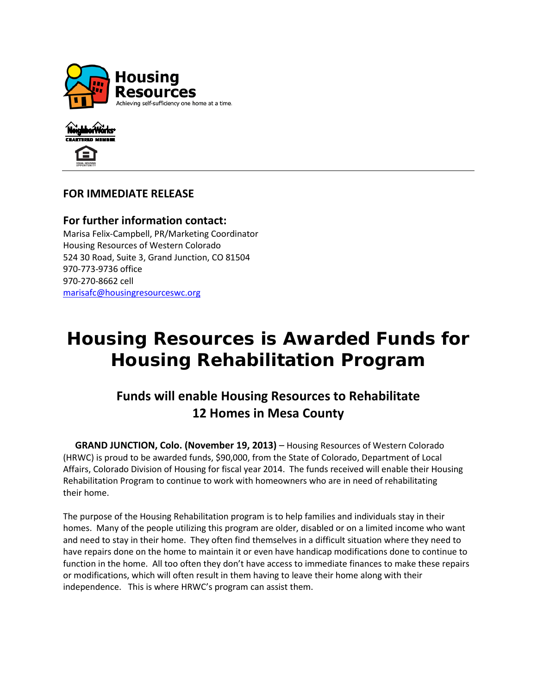



## **FOR IMMEDIATE RELEASE**

**For further information contact:** Marisa Felix-Campbell, PR/Marketing Coordinator Housing Resources of Western Colorado 524 30 Road, Suite 3, Grand Junction, CO 81504 970-773-9736 office 970-270-8662 cell [marisafc@housingresourceswc.org](mailto:eldonk@housingresourceswc.org)

## **Housing Resources is Awarded Funds for Housing Rehabilitation Program**

## **Funds will enable Housing Resources to Rehabilitate 12 Homes in Mesa County**

 **GRAND JUNCTION, Colo. (November 19, 2013)** – Housing Resources of Western Colorado (HRWC) is proud to be awarded funds, \$90,000, from the State of Colorado, Department of Local Affairs, Colorado Division of Housing for fiscal year 2014. The funds received will enable their Housing Rehabilitation Program to continue to work with homeowners who are in need of rehabilitating their home.

The purpose of the Housing Rehabilitation program is to help families and individuals stay in their homes. Many of the people utilizing this program are older, disabled or on a limited income who want and need to stay in their home. They often find themselves in a difficult situation where they need to have repairs done on the home to maintain it or even have handicap modifications done to continue to function in the home. All too often they don't have access to immediate finances to make these repairs or modifications, which will often result in them having to leave their home along with their independence. This is where HRWC's program can assist them.